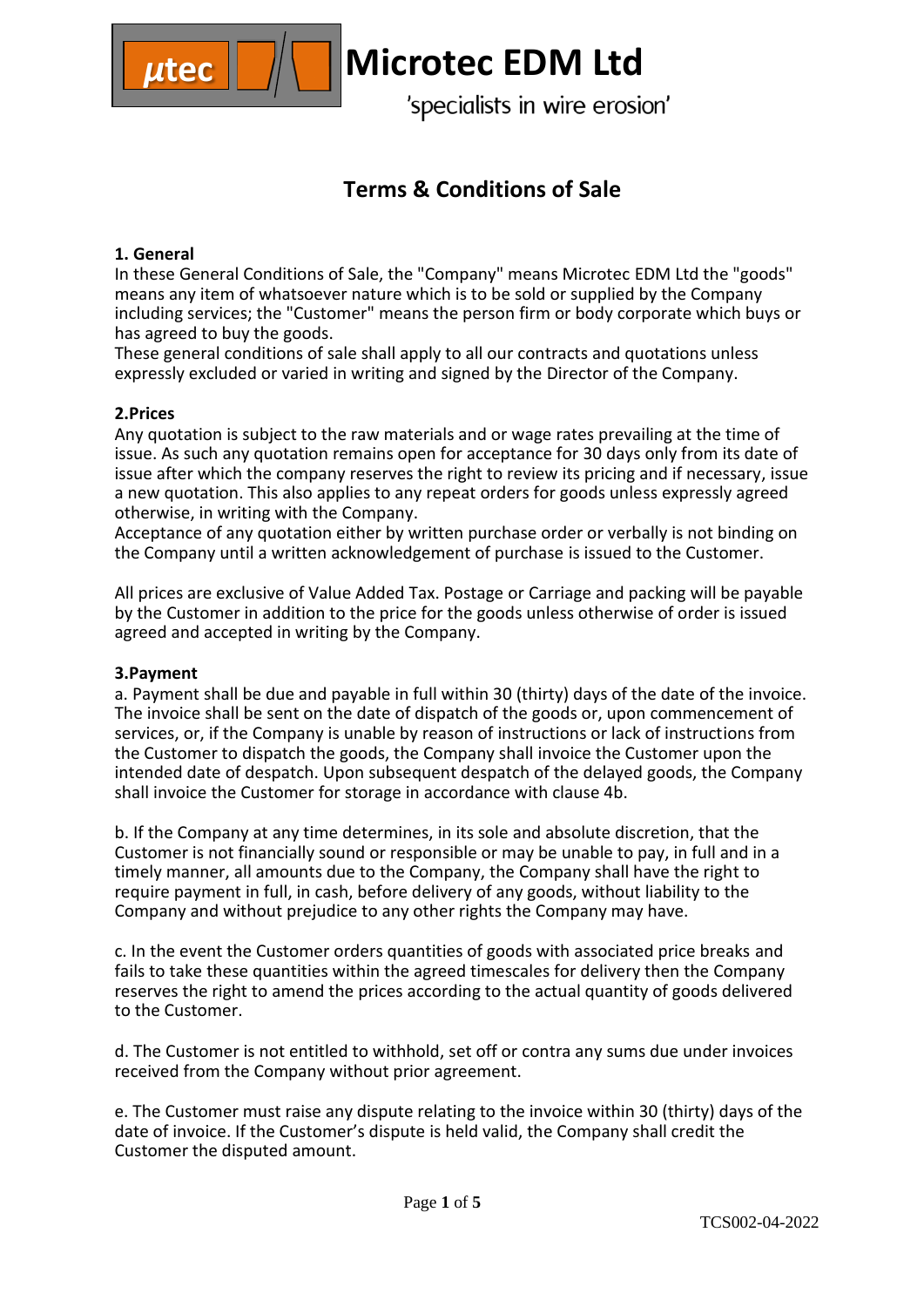

# **Terms & Conditions of Sale**

## **1. General**

In these General Conditions of Sale, the "Company" means Microtec EDM Ltd the "goods" means any item of whatsoever nature which is to be sold or supplied by the Company including services; the "Customer" means the person firm or body corporate which buys or has agreed to buy the goods.

These general conditions of sale shall apply to all our contracts and quotations unless expressly excluded or varied in writing and signed by the Director of the Company.

### **2.Prices**

Any quotation is subject to the raw materials and or wage rates prevailing at the time of issue. As such any quotation remains open for acceptance for 30 days only from its date of issue after which the company reserves the right to review its pricing and if necessary, issue a new quotation. This also applies to any repeat orders for goods unless expressly agreed otherwise, in writing with the Company.

Acceptance of any quotation either by written purchase order or verbally is not binding on the Company until a written acknowledgement of purchase is issued to the Customer.

All prices are exclusive of Value Added Tax. Postage or Carriage and packing will be payable by the Customer in addition to the price for the goods unless otherwise of order is issued agreed and accepted in writing by the Company.

### **3.Payment**

a. Payment shall be due and payable in full within 30 (thirty) days of the date of the invoice. The invoice shall be sent on the date of dispatch of the goods or, upon commencement of services, or, if the Company is unable by reason of instructions or lack of instructions from the Customer to dispatch the goods, the Company shall invoice the Customer upon the intended date of despatch. Upon subsequent despatch of the delayed goods, the Company shall invoice the Customer for storage in accordance with clause 4b.

b. If the Company at any time determines, in its sole and absolute discretion, that the Customer is not financially sound or responsible or may be unable to pay, in full and in a timely manner, all amounts due to the Company, the Company shall have the right to require payment in full, in cash, before delivery of any goods, without liability to the Company and without prejudice to any other rights the Company may have.

c. In the event the Customer orders quantities of goods with associated price breaks and fails to take these quantities within the agreed timescales for delivery then the Company reserves the right to amend the prices according to the actual quantity of goods delivered to the Customer.

d. The Customer is not entitled to withhold, set off or contra any sums due under invoices received from the Company without prior agreement.

e. The Customer must raise any dispute relating to the invoice within 30 (thirty) days of the date of invoice. If the Customer's dispute is held valid, the Company shall credit the Customer the disputed amount.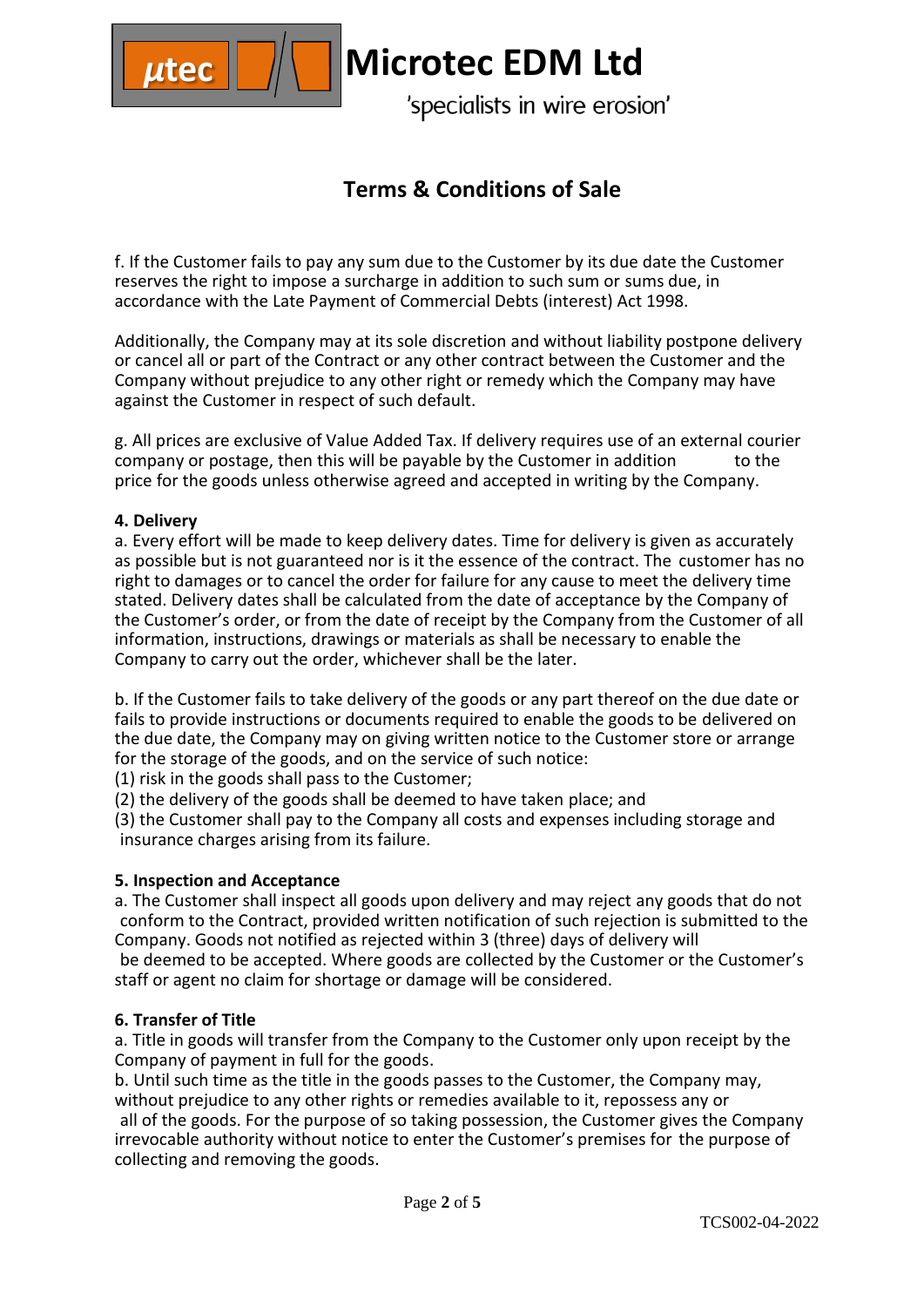

# **Terms & Conditions of Sale**

f. If the Customer fails to pay any sum due to the Customer by its due date the Customer reserves the right to impose a surcharge in addition to such sum or sums due, in accordance with the Late Payment of Commercial Debts (interest) Act 1998.

Additionally, the Company may at its sole discretion and without liability postpone delivery or cancel all or part of the Contract or any other contract between the Customer and the Company without prejudice to any other right or remedy which the Company may have against the Customer in respect of such default.

g. All prices are exclusive of Value Added Tax. If delivery requires use of an external courier company or postage, then this will be payable by the Customer in addition to the price for the goods unless otherwise agreed and accepted in writing by the Company.

### **4. Delivery**

a. Every effort will be made to keep delivery dates. Time for delivery is given as accurately as possible but is not guaranteed nor is it the essence of the contract. The customer has no right to damages or to cancel the order for failure for any cause to meet the delivery time stated. Delivery dates shall be calculated from the date of acceptance by the Company of the Customer's order, or from the date of receipt by the Company from the Customer of all information, instructions, drawings or materials as shall be necessary to enable the Company to carry out the order, whichever shall be the later.

b. If the Customer fails to take delivery of the goods or any part thereof on the due date or fails to provide instructions or documents required to enable the goods to be delivered on the due date, the Company may on giving written notice to the Customer store or arrange for the storage of the goods, and on the service of such notice:

(1) risk in the goods shall pass to the Customer;

(2) the delivery of the goods shall be deemed to have taken place; and

(3) the Customer shall pay to the Company all costs and expenses including storage and insurance charges arising from its failure.

#### **5. Inspection and Acceptance**

a. The Customer shall inspect all goods upon delivery and may reject any goods that do not conform to the Contract, provided written notification of such rejection is submitted to the Company. Goods not notified as rejected within 3 (three) days of delivery will be deemed to be accepted. Where goods are collected by the Customer or the Customer's staff or agent no claim for shortage or damage will be considered.

#### **6. Transfer of Title**

a. Title in goods will transfer from the Company to the Customer only upon receipt by the Company of payment in full for the goods.

b. Until such time as the title in the goods passes to the Customer, the Company may, without prejudice to any other rights or remedies available to it, repossess any or all of the goods. For the purpose of so taking possession, the Customer gives the Company irrevocable authority without notice to enter the Customer's premises for the purpose of collecting and removing the goods.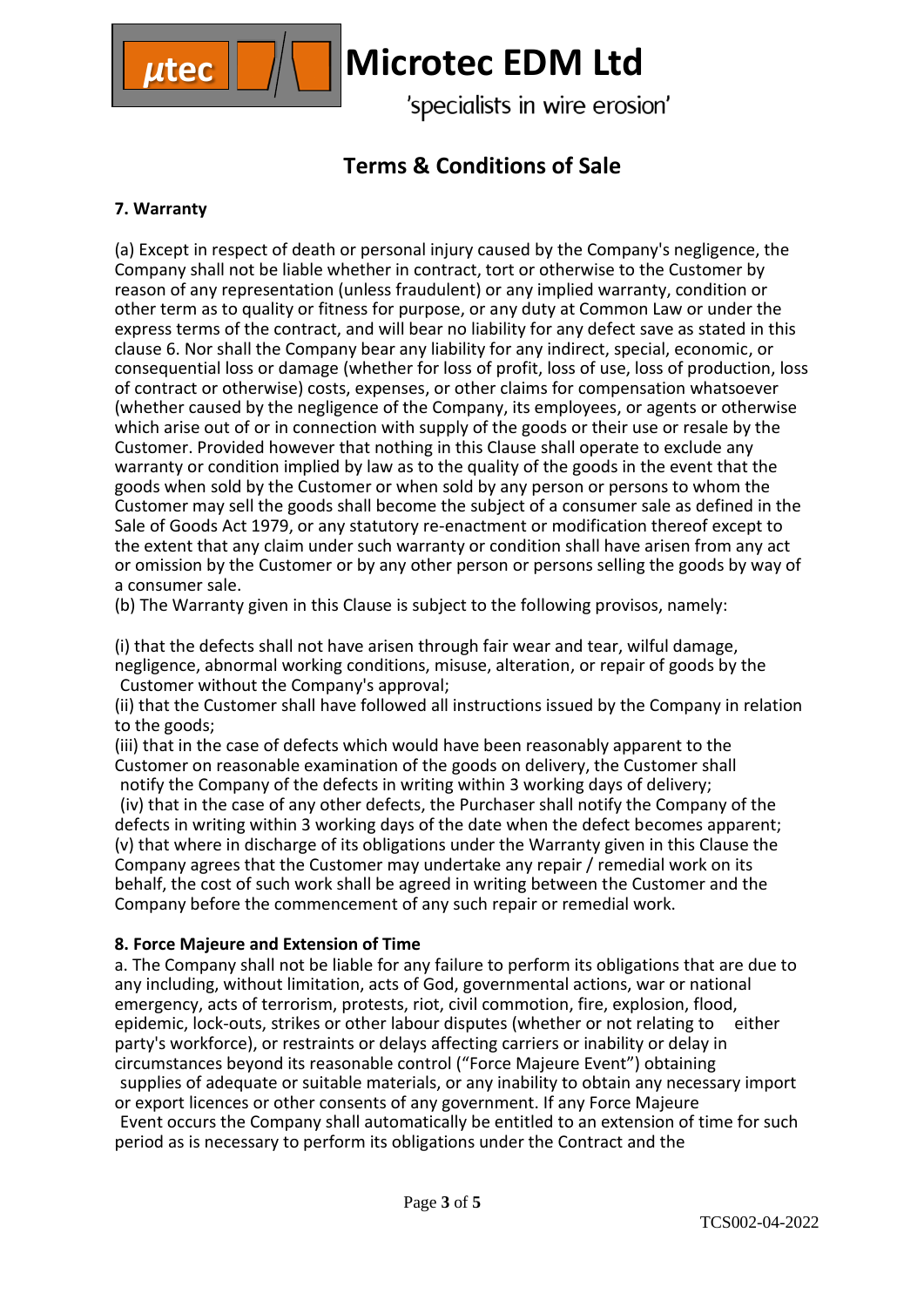

# **Terms & Conditions of Sale**

## **7. Warranty**

(a) Except in respect of death or personal injury caused by the Company's negligence, the Company shall not be liable whether in contract, tort or otherwise to the Customer by reason of any representation (unless fraudulent) or any implied warranty, condition or other term as to quality or fitness for purpose, or any duty at Common Law or under the express terms of the contract, and will bear no liability for any defect save as stated in this clause 6. Nor shall the Company bear any liability for any indirect, special, economic, or consequential loss or damage (whether for loss of profit, loss of use, loss of production, loss of contract or otherwise) costs, expenses, or other claims for compensation whatsoever (whether caused by the negligence of the Company, its employees, or agents or otherwise which arise out of or in connection with supply of the goods or their use or resale by the Customer. Provided however that nothing in this Clause shall operate to exclude any warranty or condition implied by law as to the quality of the goods in the event that the goods when sold by the Customer or when sold by any person or persons to whom the Customer may sell the goods shall become the subject of a consumer sale as defined in the Sale of Goods Act 1979, or any statutory re-enactment or modification thereof except to the extent that any claim under such warranty or condition shall have arisen from any act or omission by the Customer or by any other person or persons selling the goods by way of a consumer sale.

(b) The Warranty given in this Clause is subject to the following provisos, namely:

(i) that the defects shall not have arisen through fair wear and tear, wilful damage, negligence, abnormal working conditions, misuse, alteration, or repair of goods by the Customer without the Company's approval;

(ii) that the Customer shall have followed all instructions issued by the Company in relation to the goods;

(iii) that in the case of defects which would have been reasonably apparent to the Customer on reasonable examination of the goods on delivery, the Customer shall notify the Company of the defects in writing within 3 working days of delivery;

(iv) that in the case of any other defects, the Purchaser shall notify the Company of the defects in writing within 3 working days of the date when the defect becomes apparent; (v) that where in discharge of its obligations under the Warranty given in this Clause the Company agrees that the Customer may undertake any repair / remedial work on its behalf, the cost of such work shall be agreed in writing between the Customer and the Company before the commencement of any such repair or remedial work.

### **8. Force Majeure and Extension of Time**

a. The Company shall not be liable for any failure to perform its obligations that are due to any including, without limitation, acts of God, governmental actions, war or national emergency, acts of terrorism, protests, riot, civil commotion, fire, explosion, flood, epidemic, lock-outs, strikes or other labour disputes (whether or not relating to either party's workforce), or restraints or delays affecting carriers or inability or delay in circumstances beyond its reasonable control ("Force Majeure Event") obtaining supplies of adequate or suitable materials, or any inability to obtain any necessary import or export licences or other consents of any government. If any Force Majeure Event occurs the Company shall automatically be entitled to an extension of time for such period as is necessary to perform its obligations under the Contract and the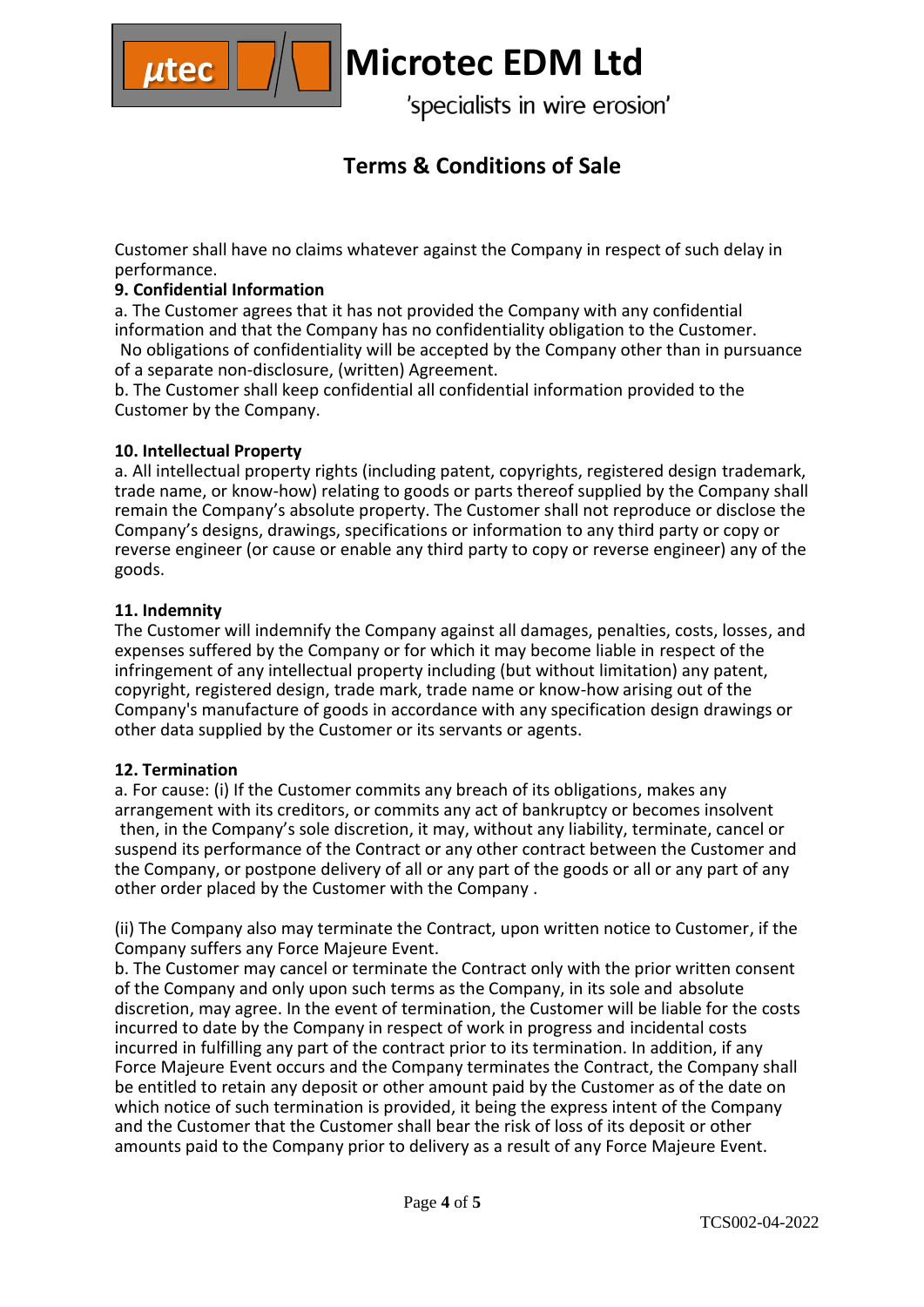

## **Terms & Conditions of Sale**

Customer shall have no claims whatever against the Company in respect of such delay in performance.

## **9. Confidential Information**

a. The Customer agrees that it has not provided the Company with any confidential information and that the Company has no confidentiality obligation to the Customer. No obligations of confidentiality will be accepted by the Company other than in pursuance of a separate non-disclosure, (written) Agreement.

b. The Customer shall keep confidential all confidential information provided to the Customer by the Company.

### **10. Intellectual Property**

a. All intellectual property rights (including patent, copyrights, registered design trademark, trade name, or know-how) relating to goods or parts thereof supplied by the Company shall remain the Company's absolute property. The Customer shall not reproduce or disclose the Company's designs, drawings, specifications or information to any third party or copy or reverse engineer (or cause or enable any third party to copy or reverse engineer) any of the goods.

### **11. Indemnity**

The Customer will indemnify the Company against all damages, penalties, costs, losses, and expenses suffered by the Company or for which it may become liable in respect of the infringement of any intellectual property including (but without limitation) any patent, copyright, registered design, trade mark, trade name or know-how arising out of the Company's manufacture of goods in accordance with any specification design drawings or other data supplied by the Customer or its servants or agents.

#### **12. Termination**

a. For cause: (i) If the Customer commits any breach of its obligations, makes any arrangement with its creditors, or commits any act of bankruptcy or becomes insolvent then, in the Company's sole discretion, it may, without any liability, terminate, cancel or suspend its performance of the Contract or any other contract between the Customer and the Company, or postpone delivery of all or any part of the goods or all or any part of any other order placed by the Customer with the Company .

(ii) The Company also may terminate the Contract, upon written notice to Customer, if the Company suffers any Force Majeure Event.

b. The Customer may cancel or terminate the Contract only with the prior written consent of the Company and only upon such terms as the Company, in its sole and absolute discretion, may agree. In the event of termination, the Customer will be liable for the costs incurred to date by the Company in respect of work in progress and incidental costs incurred in fulfilling any part of the contract prior to its termination. In addition, if any Force Majeure Event occurs and the Company terminates the Contract, the Company shall be entitled to retain any deposit or other amount paid by the Customer as of the date on which notice of such termination is provided, it being the express intent of the Company and the Customer that the Customer shall bear the risk of loss of its deposit or other amounts paid to the Company prior to delivery as a result of any Force Majeure Event.